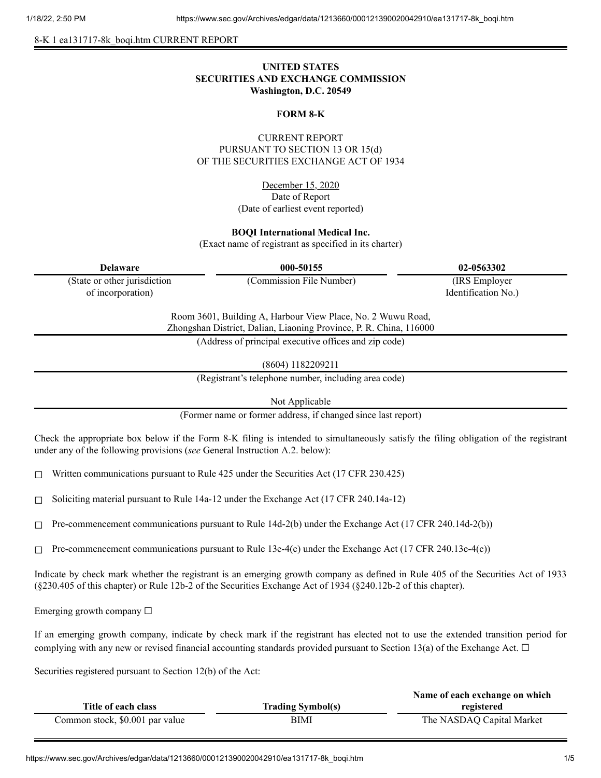8-K 1 ea131717-8k\_boqi.htm CURRENT REPORT

# **UNITED STATES SECURITIES AND EXCHANGE COMMISSION Washington, D.C. 20549**

#### **FORM 8-K**

# CURRENT REPORT PURSUANT TO SECTION 13 OR 15(d) OF THE SECURITIES EXCHANGE ACT OF 1934

December 15, 2020 Date of Report (Date of earliest event reported)

#### **BOQI International Medical Inc.**

(Exact name of registrant as specified in its charter)

| <b>Delaware</b>                                                                                                                   | 000-50155                                             | 02-0563302          |
|-----------------------------------------------------------------------------------------------------------------------------------|-------------------------------------------------------|---------------------|
| (State or other jurisdiction                                                                                                      | (Commission File Number)                              | (IRS Employer)      |
| of incorporation)                                                                                                                 |                                                       | Identification No.) |
| Room 3601, Building A, Harbour View Place, No. 2 Wuwu Road,<br>Zhongshan District, Dalian, Liaoning Province, P. R. China, 116000 |                                                       |                     |
|                                                                                                                                   | (Address of principal executive offices and zip code) |                     |
|                                                                                                                                   |                                                       |                     |

(8604) 1182209211

(Registrant's telephone number, including area code)

Not Applicable

(Former name or former address, if changed since last report)

Check the appropriate box below if the Form 8-K filing is intended to simultaneously satisfy the filing obligation of the registrant under any of the following provisions (*see* General Instruction A.2. below):

☐ Written communications pursuant to Rule 425 under the Securities Act (17 CFR 230.425)

 $\Box$  Soliciting material pursuant to Rule 14a-12 under the Exchange Act (17 CFR 240.14a-12)

 $\Box$  Pre-commencement communications pursuant to Rule 14d-2(b) under the Exchange Act (17 CFR 240.14d-2(b))

 $\Box$  Pre-commencement communications pursuant to Rule 13e-4(c) under the Exchange Act (17 CFR 240.13e-4(c))

Indicate by check mark whether the registrant is an emerging growth company as defined in Rule 405 of the Securities Act of 1933 (§230.405 of this chapter) or Rule 12b-2 of the Securities Exchange Act of 1934 (§240.12b-2 of this chapter).

Emerging growth company  $\Box$ 

If an emerging growth company, indicate by check mark if the registrant has elected not to use the extended transition period for complying with any new or revised financial accounting standards provided pursuant to Section 13(a) of the Exchange Act.  $\Box$ 

Securities registered pursuant to Section 12(b) of the Act:

|                                 |                          | Name of each exchange on which |
|---------------------------------|--------------------------|--------------------------------|
| Title of each class             | <b>Trading Symbol(s)</b> | registered                     |
| Common stock, \$0.001 par value | BIMI                     | The NASDAQ Capital Market      |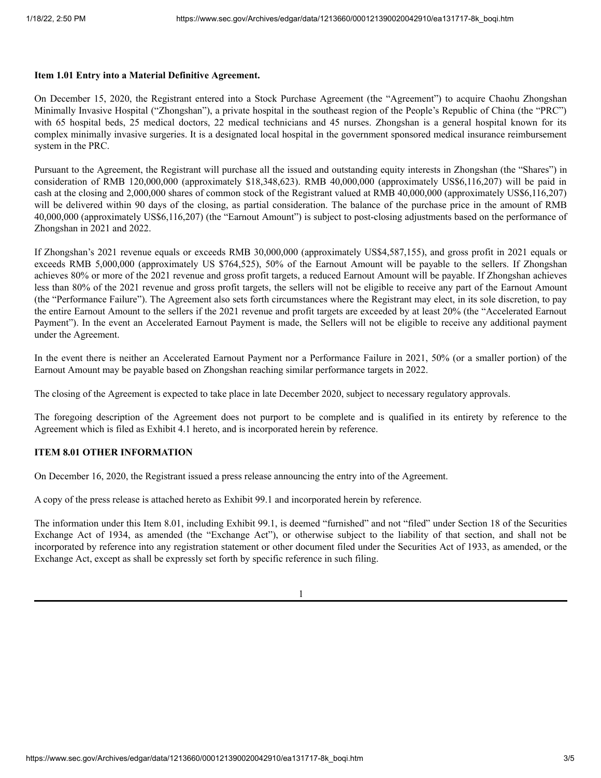### **Item 1.01 Entry into a Material Definitive Agreement.**

On December 15, 2020, the Registrant entered into a Stock Purchase Agreement (the "Agreement") to acquire Chaohu Zhongshan Minimally Invasive Hospital ("Zhongshan"), a private hospital in the southeast region of the People's Republic of China (the "PRC") with 65 hospital beds, 25 medical doctors, 22 medical technicians and 45 nurses. Zhongshan is a general hospital known for its complex minimally invasive surgeries. It is a designated local hospital in the government sponsored medical insurance reimbursement system in the PRC.

Pursuant to the Agreement, the Registrant will purchase all the issued and outstanding equity interests in Zhongshan (the "Shares") in consideration of RMB 120,000,000 (approximately \$18,348,623). RMB 40,000,000 (approximately US\$6,116,207) will be paid in cash at the closing and 2,000,000 shares of common stock of the Registrant valued at RMB 40,000,000 (approximately US\$6,116,207) will be delivered within 90 days of the closing, as partial consideration. The balance of the purchase price in the amount of RMB 40,000,000 (approximately US\$6,116,207) (the "Earnout Amount") is subject to post-closing adjustments based on the performance of Zhongshan in 2021 and 2022.

If Zhongshan's 2021 revenue equals or exceeds RMB 30,000,000 (approximately US\$4,587,155), and gross profit in 2021 equals or exceeds RMB 5,000,000 (approximately US \$764,525), 50% of the Earnout Amount will be payable to the sellers. If Zhongshan achieves 80% or more of the 2021 revenue and gross profit targets, a reduced Earnout Amount will be payable. If Zhongshan achieves less than 80% of the 2021 revenue and gross profit targets, the sellers will not be eligible to receive any part of the Earnout Amount (the "Performance Failure"). The Agreement also sets forth circumstances where the Registrant may elect, in its sole discretion, to pay the entire Earnout Amount to the sellers if the 2021 revenue and profit targets are exceeded by at least 20% (the "Accelerated Earnout Payment"). In the event an Accelerated Earnout Payment is made, the Sellers will not be eligible to receive any additional payment under the Agreement.

In the event there is neither an Accelerated Earnout Payment nor a Performance Failure in 2021, 50% (or a smaller portion) of the Earnout Amount may be payable based on Zhongshan reaching similar performance targets in 2022.

The closing of the Agreement is expected to take place in late December 2020, subject to necessary regulatory approvals.

The foregoing description of the Agreement does not purport to be complete and is qualified in its entirety by reference to the Agreement which is filed as Exhibit 4.1 hereto, and is incorporated herein by reference.

### **ITEM 8.01 OTHER INFORMATION**

On December 16, 2020, the Registrant issued a press release announcing the entry into of the Agreement.

A copy of the press release is attached hereto as Exhibit 99.1 and incorporated herein by reference.

The information under this Item 8.01, including Exhibit 99.1, is deemed "furnished" and not "filed" under Section 18 of the Securities Exchange Act of 1934, as amended (the "Exchange Act"), or otherwise subject to the liability of that section, and shall not be incorporated by reference into any registration statement or other document filed under the Securities Act of 1933, as amended, or the Exchange Act, except as shall be expressly set forth by specific reference in such filing.

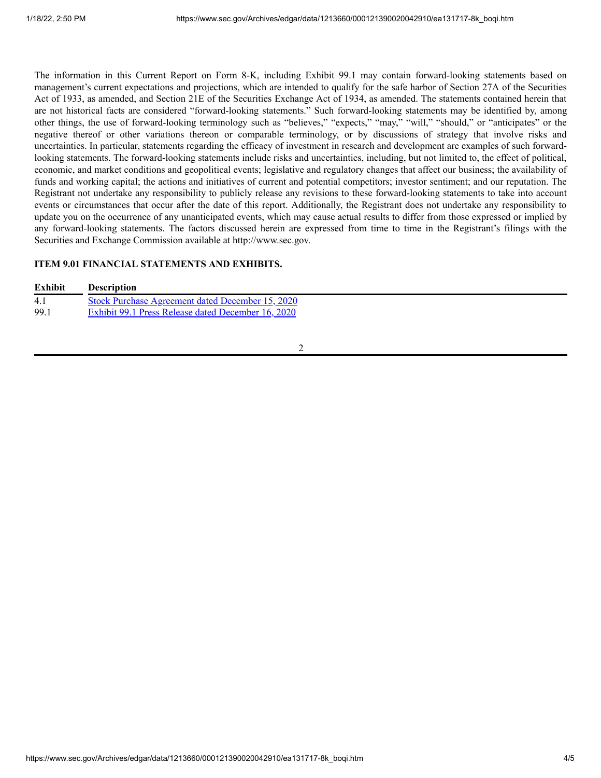The information in this Current Report on Form 8-K, including Exhibit 99.1 may contain forward-looking statements based on management's current expectations and projections, which are intended to qualify for the safe harbor of Section 27A of the Securities Act of 1933, as amended, and Section 21E of the Securities Exchange Act of 1934, as amended. The statements contained herein that are not historical facts are considered "forward-looking statements." Such forward-looking statements may be identified by, among other things, the use of forward-looking terminology such as "believes," "expects," "may," "will," "should," or "anticipates" or the negative thereof or other variations thereon or comparable terminology, or by discussions of strategy that involve risks and uncertainties. In particular, statements regarding the efficacy of investment in research and development are examples of such forwardlooking statements. The forward-looking statements include risks and uncertainties, including, but not limited to, the effect of political, economic, and market conditions and geopolitical events; legislative and regulatory changes that affect our business; the availability of funds and working capital; the actions and initiatives of current and potential competitors; investor sentiment; and our reputation. The Registrant not undertake any responsibility to publicly release any revisions to these forward-looking statements to take into account events or circumstances that occur after the date of this report. Additionally, the Registrant does not undertake any responsibility to update you on the occurrence of any unanticipated events, which may cause actual results to differ from those expressed or implied by any forward-looking statements. The factors discussed herein are expressed from time to time in the Registrant's filings with the Securities and Exchange Commission available at http://www.sec.gov.

# **ITEM 9.01 FINANCIAL STATEMENTS AND EXHIBITS.**

| <b>Exhibit</b> | <b>Description</b>                                      |
|----------------|---------------------------------------------------------|
| 4.1            | <b>Stock Purchase Agreement dated December 15, 2020</b> |
| 99.            | Exhibit 99.1 Press Release dated December 16, 2020      |

#### 2